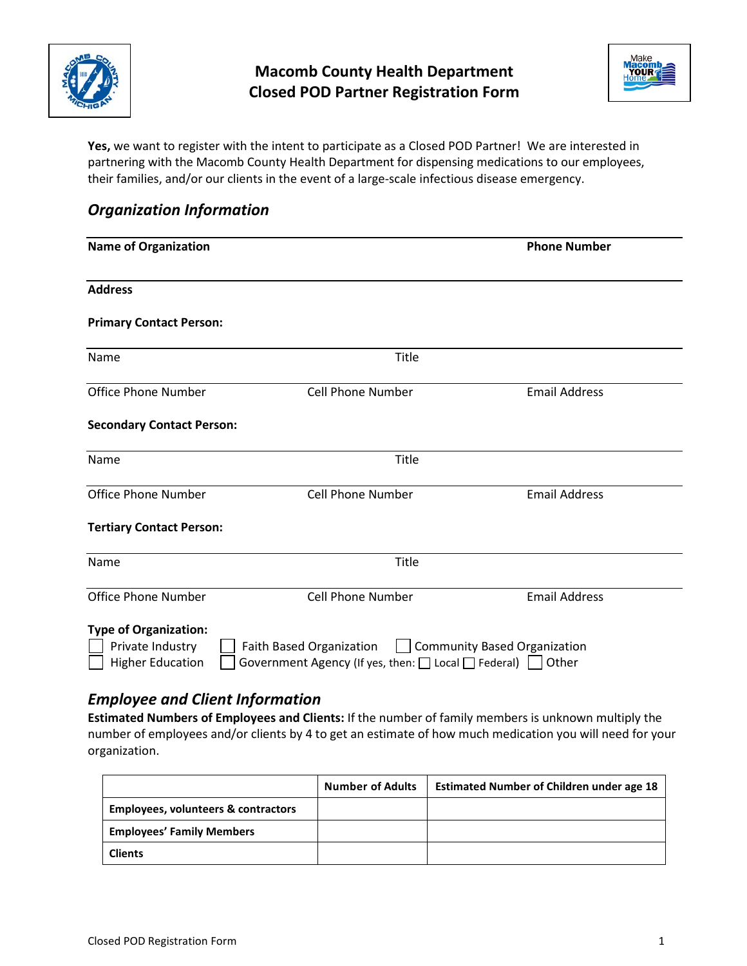



**Yes,** we want to register with the intent to participate as a Closed POD Partner! We are interested in partnering with the Macomb County Health Department for dispensing medications to our employees, their families, and/or our clients in the event of a large-scale infectious disease emergency.

### *Organization Information*

| <b>Name of Organization</b>                                                 | <b>Phone Number</b>                                                                       |                                       |
|-----------------------------------------------------------------------------|-------------------------------------------------------------------------------------------|---------------------------------------|
| <b>Address</b>                                                              |                                                                                           |                                       |
| <b>Primary Contact Person:</b>                                              |                                                                                           |                                       |
| Name                                                                        | <b>Title</b>                                                                              |                                       |
| <b>Office Phone Number</b>                                                  | <b>Cell Phone Number</b>                                                                  | <b>Email Address</b>                  |
| <b>Secondary Contact Person:</b>                                            |                                                                                           |                                       |
| Name                                                                        | Title                                                                                     |                                       |
| <b>Office Phone Number</b>                                                  | <b>Cell Phone Number</b>                                                                  | <b>Email Address</b>                  |
| <b>Tertiary Contact Person:</b>                                             |                                                                                           |                                       |
| Name                                                                        | Title                                                                                     |                                       |
| <b>Office Phone Number</b>                                                  | <b>Cell Phone Number</b>                                                                  | <b>Email Address</b>                  |
| <b>Type of Organization:</b><br>Private Industry<br><b>Higher Education</b> | Faith Based Organization<br>Government Agency (If yes, then: $\Box$ Local $\Box$ Federal) | Community Based Organization<br>Other |

## *Employee and Client Information*

**Estimated Numbers of Employees and Clients:** If the number of family members is unknown multiply the number of employees and/or clients by 4 to get an estimate of how much medication you will need for your organization.

|                                                | <b>Number of Adults</b> | <b>Estimated Number of Children under age 18</b> |
|------------------------------------------------|-------------------------|--------------------------------------------------|
| <b>Employees, volunteers &amp; contractors</b> |                         |                                                  |
| <b>Employees' Family Members</b>               |                         |                                                  |
| <b>Clients</b>                                 |                         |                                                  |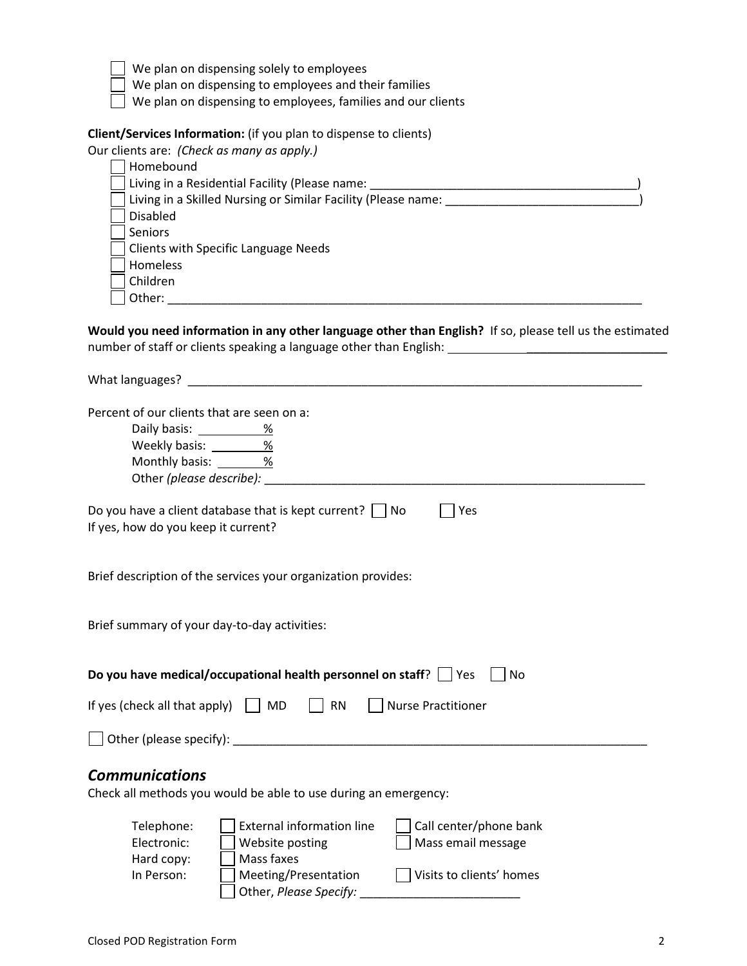| We plan on dispensing solely to employees                                                                                                                      |
|----------------------------------------------------------------------------------------------------------------------------------------------------------------|
| We plan on dispensing to employees and their families                                                                                                          |
| We plan on dispensing to employees, families and our clients                                                                                                   |
| Client/Services Information: (if you plan to dispense to clients)                                                                                              |
| Our clients are: (Check as many as apply.)                                                                                                                     |
| Homebound                                                                                                                                                      |
|                                                                                                                                                                |
|                                                                                                                                                                |
|                                                                                                                                                                |
| <b>Disabled</b>                                                                                                                                                |
| Seniors                                                                                                                                                        |
| <b>Clients with Specific Language Needs</b>                                                                                                                    |
| Homeless                                                                                                                                                       |
| Children                                                                                                                                                       |
| Other: will be a series of the series of the series of the series of the series of the series of the series of                                                 |
| Would you need information in any other language other than English? If so, please tell us the estimated                                                       |
| What languages? Management and the contract of the contract of the contract of the contract of the contract of                                                 |
| Percent of our clients that are seen on a:<br>Daily basis: <u>_____________%</u><br>Weekly basis: __________%<br>Monthly basis: 36<br>Other (please describe): |
| Do you have a client database that is kept current? $\Box$ No<br>$ $   Yes<br>If yes, how do you keep it current?                                              |
| Brief description of the services your organization provides:                                                                                                  |
| Brief summary of your day-to-day activities:                                                                                                                   |
| Do you have medical/occupational health personnel on staff?<br>No<br>Yes                                                                                       |
| If yes (check all that apply)<br><b>MD</b><br><b>RN</b><br><b>Nurse Practitioner</b>                                                                           |
| Other (please specify):                                                                                                                                        |
| <b>Communications</b><br>Check all methods you would be able to use during an emergency:                                                                       |
| <b>External information line</b><br>Telephone:<br>Call center/phone bank                                                                                       |
| Electronic:<br>Website posting<br>Mass email message                                                                                                           |
| Mass faxes<br>Hard copy:                                                                                                                                       |
| Meeting/Presentation<br>Visits to clients' homes<br>In Person:                                                                                                 |
| Other, Please Specify:                                                                                                                                         |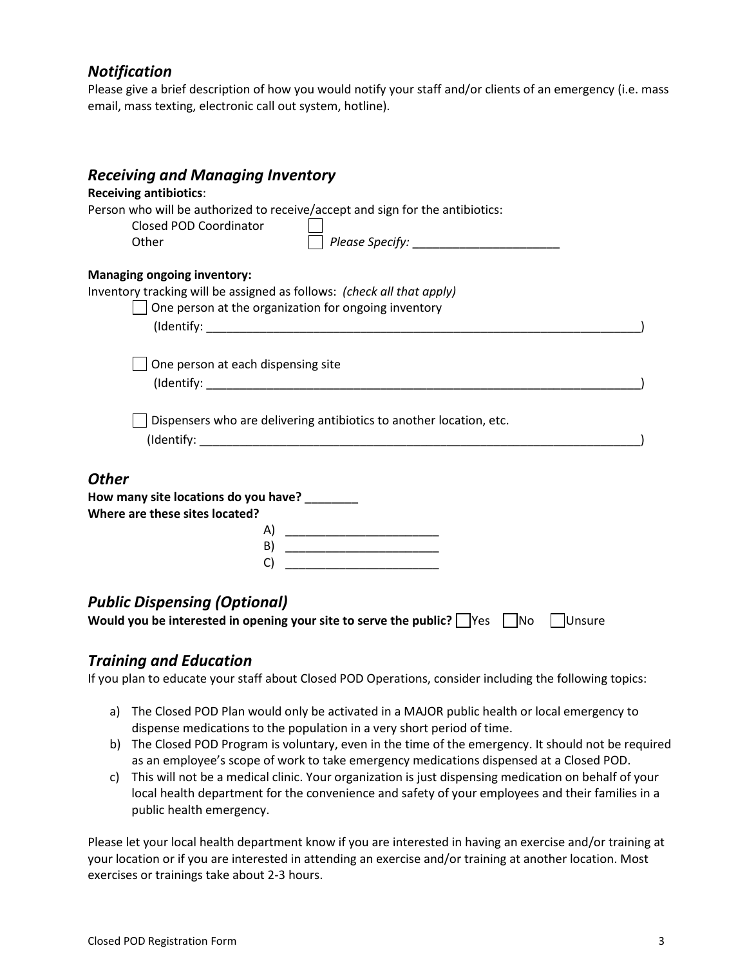#### *Notification*

Please give a brief description of how you would notify your staff and/or clients of an emergency (i.e. mass email, mass texting, electronic call out system, hotline).

| <b>Receiving and Managing Inventory</b><br><b>Receiving antibiotics:</b>                                                                                             |  |
|----------------------------------------------------------------------------------------------------------------------------------------------------------------------|--|
| Person who will be authorized to receive/accept and sign for the antibiotics:<br>Closed POD Coordinator<br>Other                                                     |  |
| <b>Managing ongoing inventory:</b><br>Inventory tracking will be assigned as follows: (check all that apply)<br>One person at the organization for ongoing inventory |  |
| One person at each dispensing site<br>Dispensers who are delivering antibiotics to another location, etc.                                                            |  |
| <b>Other</b><br>How many site locations do you have? ________<br>Where are these sites located?<br>A)<br>B)<br>C)                                                    |  |
| <b>Public Dispensing (Optional)</b><br>Would you be interested in opening your site to serve the public? $\Box$ Yes<br>N <sub>o</sub><br>Unsure                      |  |

#### *Training and Education*

If you plan to educate your staff about Closed POD Operations, consider including the following topics:

- a) The Closed POD Plan would only be activated in a MAJOR public health or local emergency to dispense medications to the population in a very short period of time.
- b) The Closed POD Program is voluntary, even in the time of the emergency. It should not be required as an employee's scope of work to take emergency medications dispensed at a Closed POD.
- c) This will not be a medical clinic. Your organization is just dispensing medication on behalf of your local health department for the convenience and safety of your employees and their families in a public health emergency.

Please let your local health department know if you are interested in having an exercise and/or training at your location or if you are interested in attending an exercise and/or training at another location. Most exercises or trainings take about 2-3 hours.